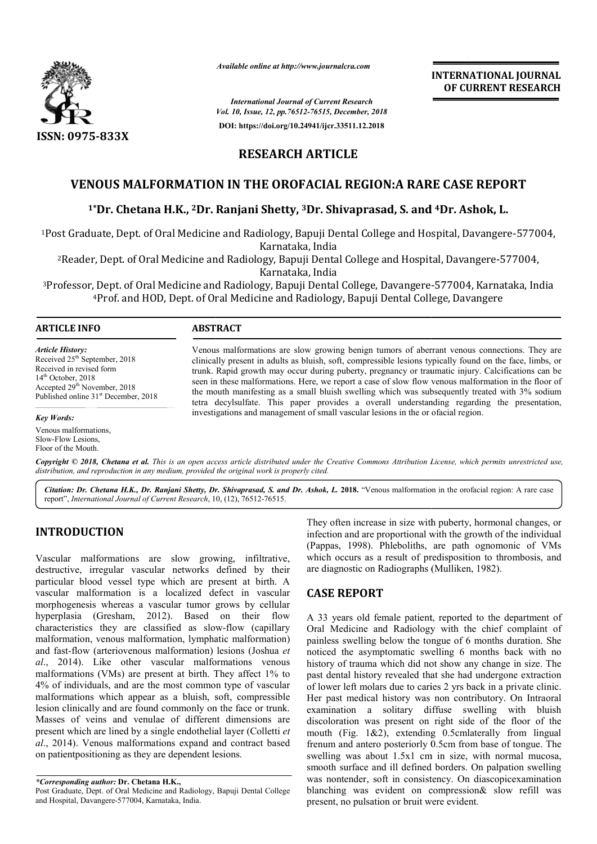

*Available online at http://www.journalcra.com*

*International Journal of Current Research Vol. 10, Issue, 12, pp.76512-76515, December, 2018* **DOI: https://doi.org/10.24941/ijcr.33511.12.2018**

**INTERNATIONAL JOURNAL OF CURRENT RESEARCH**

# **RESEARCH ARTICLE**

## **VENOUS MALFORMATION IN THE OROFACIAL REGION:A RARE CASE REPORT**

### **1\*Dr. Chetana H.K., 2Dr. Ranjani Shetty, Dr. 3Dr. Shivaprasad, S. and Dr. 4Dr. Ashok, L.**

<sup>1</sup>Post Graduate, Dept. of Oral Medicine and Radiology, Bapuji Dental College and Hospital, Davangere-577004, Karnataka, India

2Reader, Dept. of Oral Medicine and Radiology, Bapuji Dental College and Hospital, Davangere-577004, Karnataka, India

<sup>3</sup>Professor, Dept. of Oral Medicine and Radiology, Bapuji Dental College, Davangere-577004, Karnataka, India 4Prof. and HOD, Dept. of Oral Medicine and Radiology, Bapuji Dental College, Davangere Bapuji Dental

#### **ARTICLE INFO ABSTRACT**

*Article History:* Received 25<sup>th</sup> September, 2018 Received in revised form 14<sup>th</sup> October, 2018 Accepted 29<sup>th</sup> November, 2018 Published online 31<sup>st</sup> December, 2018

Venous malformations are slow growing benign tumors of aberrant venous connections. They are clinically present in adults as bluish, soft, compressible lesions typically found on the face, limbs, or trunk. Rapid growth may occur during puberty, pregnancy or traumatic injury. Calcifications can be seen in these malformations. Here, we report a case of slow flow venous malformation in the floor of the mouth manifesting as a small bluish swelling which was subsequently treated with 3% sodium tetra decylsulfate. This paper provides a overall understanding investigations and management of small vascular lesions in the or ofacial region. investigations in the or Venous malformations are slow growing benign tumors of aberrant venous connections. They are clinically present in adults as bluish, soft, compressible lesions typically found on the face, limbs, or trunk. Rapid growth may

#### *Key Words:*

Venous malformations, Slow-Flow Lesions, Floor of the Mouth.

Copyright © 2018, Chetana et al. This is an open access article distributed under the Creative Commons Attribution License, which permits unrestricted use, *distribution, and reproduction in any medium, provided the original work is properly cited.*

Citation: Dr. Chetana H.K., Dr. Ranjani Shetty, Dr. Shivaprasad, S. and Dr. Ashok, L. 2018. "Venous malformation in the orofacial region: A rare case report", *International Journal of Current Research*, 10 10, (12), 76512-76515.

### **INTRODUCTION**

Vascular malformations are slow growing, infiltrative, destructive, irregular vascular networks defined by their particular blood vessel type which are present at birth. A vascular malformation is a localized defect in vascular morphogenesis whereas a vascular tumor grows by cellular hyperplasia (Gresham, 2012). Based on their flow characteristics they are classified as slow-flow (capillary malformation, venous malformation, lymphatic malformation) and fast-flow (arteriovenous malformation) lesions (Joshua et *al*., 2014). Like other vascular malformations venous malformations (VMs) are present at birth. They affect 1% to 4% of individuals, and are the most common type of vascular malformations which appear as a bluish, soft, compressible lesion clinically and are found commonly on the face or trunk. Masses of veins and venulae of different dimensions are present which are lined by a single endothelial layer (Colletti et *al*., 2014). Venous malformations expand and contract based on patientpositioning as they are dependent lesions.

They often increase in size with puberty, hormonal changes, or infection and are proportional with the growth of the individual They often increase in size with puberty, hormonal changes, or infection and are proportional with the growth of the individual (Pappas, 1998). Phleboliths, are path ognomonic of VMs which occurs as a result of predisposition to thrombosis, and are diagnostic on Radiographs (Mulliken, 1982). are diagnostic on Radiographs (

### **CASE REPORT**

A 33 years old female patient, reported to the department of Oral Medicine and Radiology with the chief complaint of painless swelling below the tongue of 6 months duration. She noticed the asymptomatic swelling 6 months back with no history of trauma which did not show any change in size. The past dental history revealed that she had undergone extraction of lower left molars due to caries 2 yrs back in a private clinic. Her past medical history was non contributory. On Intraoral examination a solitary diffuse swelling with bluish discoloration was present on right side of the floor of the mouth (Fig. 1&2), extending 0.5cmlaterally from lingual frenum and antero posteriorly 0.5cm from base of tongue. The swelling was about 1.5x1 cm in size, with normal mucosa, smooth surface and ill defined borders. On palpation swelling was nontender, soft in consistency. On diascopicexamination blanching was evident on compression& slow refill was present, no pulsation or bruit were evident. ess swelling below the tongue of 6 months duration. She<br>ed the asymptomatic swelling 6 months back with no<br>ry of trauma which did not show any change in size. The<br>dental history revealed that she had undergone extraction<br>w was present on right side of the floor of the  $1\&2$ ), extending 0.5cm base of tongue. The about  $1.5x1$  cm in size, with normal mucosa, e and ill defined borders. On palpation swelling **INTERNATIONAL JOURNAL**<br> **OF CURRENT RESEARCH**<br> **OF CURRENT RESEARCH**<br> **OF CURRENT RESEARCH**<br> **ON:A RARE CASE REPORT**<br> **Sad, S. and <sup>4</sup>Dr. Ashok, L.**<br>
llege and Hospital, Davangere-577004,<br> *c* and Hospital, Davangere-5770

*<sup>\*</sup>Corresponding author:* **Dr. Chetana H.K.,**  Post Graduate, Dept. of Oral Medicine and Radiology, Bapuji Dental College

and Hospital, Davangere-577004, Karnataka, India.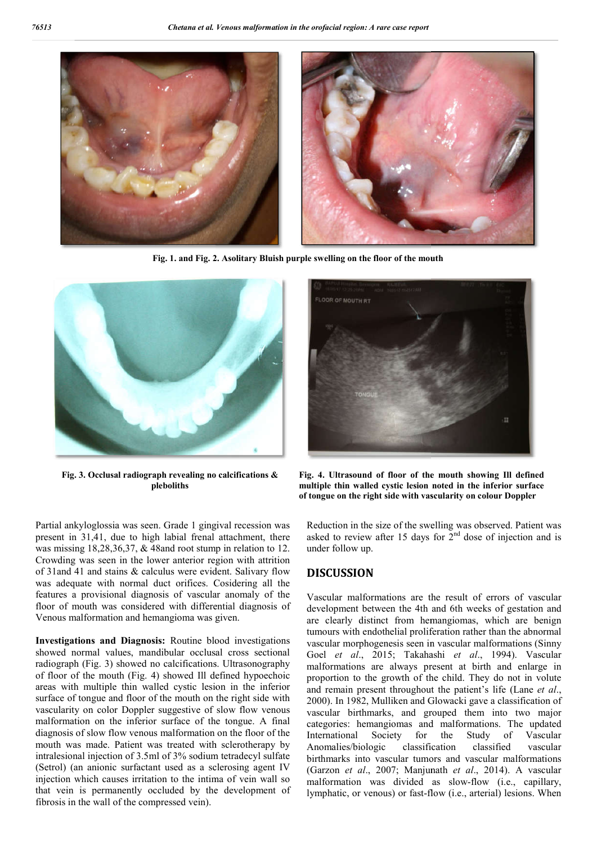

**Fig. 1. and Fig. 2. . Asolitary Bluish purple swelling on the floor of the mouth**



**Fig. 3. Occlusal radiograph revealing no calcifications & pleboliths** 

Partial ankyloglossia was seen. Grade 1 gingival recession was present in 31,41, due to high labial frenal attachment, there was missing 18,28,36,37, & 48and root stump in relation to 12. Crowding was seen in the lower anterior region with attrition of 31and 41 and stains & calculus were evident. Salivary flow was adequate with normal duct orifices. Cosidering all the features a provisional diagnosis of vascular anomaly of the floor of mouth was considered with differential diagnosis of Venous malformation and hemangioma was given.

**Investigations and Diagnosis:** Routine blood investigations showed normal values, mandibular occlusal cross sectional radiograph (Fig. 3) showed no calcifications. Ultrasonography of floor of the mouth (Fig. 4) showed Ill defined hypoechoic areas with multiple thin walled cystic lesion in the inferior surface of tongue and floor of the mouth on the right side with vascularity on color Doppler suggestive of slow flow venous malformation on the inferior surface of the tongue. A final diagnosis of slow flow venous malformation on the floor of the mouth was made. Patient was treated with sclerotherapy by intralesional injection of 3.5ml of 3% sodium tetradecyl sulfate (Setrol) (an anionic surfactant used as a sclerosing agent IV injection which causes irritation to the intima of vein wall so that vein is permanently occluded by the development of fibrosis in the wall of the compressed vein).



 **Fig. 4. Ultrasound of floor of the mouth showing Ill defined multiple thin walled cystic lesion noted in the inferior surface of tongue on the right side with vascularity on colour Doppler** Fig. 4. Ultrasound of floor of the mouth showing Ill<br>multiple thin walled cystic lesion noted in the inferior<br>of tongue on the right side with vascularity on colour Do

Reduction in the size of the swelling was observed. Patient was asked to review after 15 days for  $2<sup>nd</sup>$  dose of injection and is under follow up.

#### **DISCUSSION**

Vascular malformations are the result of errors of vascular development between the 4th and 6th weeks of gestation and are clearly distinct from hemangiomas, which are benign tumours with endothelial proliferation rather than the abnormal vascular morphogenesis seen in vascular malformations (Sinny Goel et al., 2015; Takahashi et al., 1994). Vascular malformations are always present at birth and enlarge in proportion to the growth of the child. They do not in volute and remain present throughout the patient's life (Lane *et al.*, 2000). In 1982, Mulliken and Glowacki gave a classification of vascular birthmarks, and grouped them into two major categories: hemangiomas and malformations. The updated International Society for the Study of Vascular Anomalies/biologic classification classified vascular birthmarks into vascular tumors and vascular malformations (Garzon et al., 2007; Manjunath et al., 2014). A vascular malformation was divided as slow-flow (i.e., capillary, lymphatic, or venous) or fast-flow (i.e., arterial) lesions. When cular malformations are the result of errors<br>dopment between the 4th and 6th weeks of g<br>clearly distinct from hemangiomas, which<br>burs with endothelial proliferation rather than t ons are always present at birth and enlarge in<br>to the growth of the child. They do not in volute<br>present throughout the patient's life (Lane *et al.*, en and Glowacki gave a classification of and grouped them into two major<br>nas and malformations. The updated<br>for the Study of Vascular<br>classification classified vascular<br>ar tumors and vascular malformations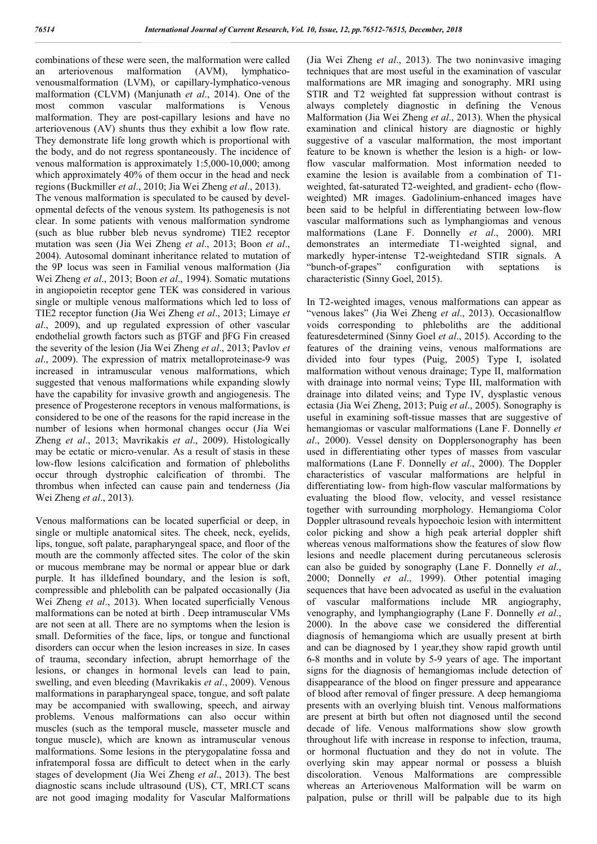combinations of these were seen, the malformation were called an arteriovenous malformation (AVM), lymphaticovenousmalformation (LVM), or capillary-lymphatico-venous malformation (CLVM) (Manjunath *et al*., 2014). One of the most common vascular malformations is Venous malformation. They are post-capillary lesions and have no arteriovenous (AV) shunts thus they exhibit a low flow rate. They demonstrate life long growth which is proportional with the body, and do not regress spontaneously. The incidence of venous malformation is approximately 1:5,000-10,000; among which approximately 40% of them occur in the head and neck regions (Buckmiller *et al*., 2010; Jia Wei Zheng *et al*., 2013). The venous malformation is speculated to be caused by developmental defects of the venous system. Its pathogenesis is not clear. In some patients with venous malformation syndrome (such as blue rubber bleb nevus syndrome) TIE2 receptor mutation was seen (Jia Wei Zheng *et al*., 2013; Boon *et al*., 2004). Autosomal dominant inheritance related to mutation of the 9P locus was seen in Familial venous malformation (Jia Wei Zheng *et al*., 2013; Boon *et al*., 1994). Somatic mutations in angiopoietin receptor gene TEK was considered in various single or multiple venous malformations which led to loss of TIE2 receptor function (Jia Wei Zheng *et al*., 2013; Limaye *et al*., 2009), and up regulated expression of other vascular endothelial growth factors such as βTGF and βFG Fin creased the severity of the lesion (Jia Wei Zheng *et al*., 2013; Pavlov *et al*., 2009). The expression of matrix metalloproteinase-9 was increased in intramuscular venous malformations, which suggested that venous malformations while expanding slowly have the capability for invasive growth and angiogenesis. The presence of Progesterone receptors in venous malformations, is considered to be one of the reasons for the rapid increase in the number of lesions when hormonal changes occur (Jia Wei Zheng *et al*., 2013; Mavrikakis *et al*., 2009). Histologically may be ectatic or micro-venular. As a result of stasis in these low-flow lesions calcification and formation of phleboliths occur through dystrophic calcification of thrombi. The thrombus when infected can cause pain and tenderness (Jia Wei Zheng *et al*., 2013).

Venous malformations can be located superficial or deep, in single or multiple anatomical sites. The cheek, neck, eyelids, lips, tongue, soft palate, parapharyngeal space, and floor of the mouth are the commonly affected sites. The color of the skin or mucous membrane may be normal or appear blue or dark purple. It has illdefined boundary, and the lesion is soft, compressible and phlebolith can be palpated occasionally (Jia Wei Zheng *et al*., 2013). When located superficially Venous malformations can be noted at birth . Deep intramuscular VMs are not seen at all. There are no symptoms when the lesion is small. Deformities of the face, lips, or tongue and functional disorders can occur when the lesion increases in size. In cases of trauma, secondary infection, abrupt hemorrhage of the lesions, or changes in hormonal levels can lead to pain, swelling, and even bleeding (Mavrikakis *et al*., 2009). Venous malformations in parapharyngeal space, tongue, and soft palate may be accompanied with swallowing, speech, and airway problems. Venous malformations can also occur within muscles (such as the temporal muscle, masseter muscle and tongue muscle), which are known as intramuscular venous malformations. Some lesions in the pterygopalatine fossa and infratemporal fossa are difficult to detect when in the early stages of development (Jia Wei Zheng *et al*., 2013). The best diagnostic scans include ultrasound (US), CT, MRI.CT scans are not good imaging modality for Vascular Malformations

(Jia Wei Zheng *et al*., 2013). The two noninvasive imaging techniques that are most useful in the examination of vascular malformations are MR imaging and sonography. MRI using STIR and T2 weighted fat suppression without contrast is always completely diagnostic in defining the Venous Malformation (Jia Wei Zheng *et al*., 2013). When the physical examination and clinical history are diagnostic or highly suggestive of a vascular malformation, the most important feature to be known is whether the lesion is a high- or lowflow vascular malformation. Most information needed to examine the lesion is available from a combination of T1 weighted, fat-saturated T2-weighted, and gradient- echo (flowweighted) MR images. Gadolinium-enhanced images have been said to be helpful in differentiating between low-flow vascular malformations such as lymphangiomas and venous malformations (Lane F. Donnelly *et al*., 2000). MRI demonstrates an intermediate T1-weighted signal, and markedly hyper-intense T2-weightedand STIR signals. A "bunch-of-grapes" configuration with septations is characteristic (Sinny Goel, 2015).

In T2-weighted images, venous malformations can appear as "venous lakes" (Jia Wei Zheng *et al*., 2013). Occasionalflow voids corresponding to phleboliths are the additional featuresdetermined (Sinny Goel *et al*., 2015). According to the features of the draining veins, venous malformations are divided into four types (Puig, 2005) Type I, isolated malformation without venous drainage; Type II, malformation with drainage into normal veins: Type III, malformation with drainage into dilated veins; and Type IV, dysplastic venous ectasia (Jia Wei Zheng, 2013; Puig *et al*., 2005). Sonography is useful in examining soft-tissue masses that are suggestive of hemangiomas or vascular malformations (Lane F. Donnelly *et al*., 2000). Vessel density on Dopplersonography has been used in differentiating other types of masses from vascular malformations (Lane F. Donnelly *et al*., 2000). The Doppler characteristics of vascular malformations are helpful in differentiating low- from high-flow vascular malformations by evaluating the blood flow, velocity, and vessel resistance together with surrounding morphology. Hemangioma Color Doppler ultrasound reveals hypoechoic lesion with intermittent color picking and show a high peak arterial doppler shift whereas venous malformations show the features of slow flow lesions and needle placement during percutaneous sclerosis can also be guided by sonography (Lane F. Donnelly *et al*., 2000; Donnelly *et al*., 1999). Other potential imaging sequences that have been advocated as useful in the evaluation of vascular malformations include MR angiography, venography, and lymphangiography (Lane F. Donnelly *et al*., 2000). In the above case we considered the differential diagnosis of hemangioma which are usually present at birth and can be diagnosed by 1 year,they show rapid growth until 6-8 months and in volute by 5-9 years of age. The important signs for the diagnosis of hemangiomas include detection of disappearance of the blood on finger pressure and appearance of blood after removal of finger pressure. A deep hemangioma presents with an overlying bluish tint. Venous malformations are present at birth but often not diagnosed until the second decade of life. Venous malformations show slow growth throughout life with increase in response to infection, trauma, or hormonal fluctuation and they do not in volute. The overlying skin may appear normal or possess a bluish discoloration. Venous Malformations are compressible whereas an Arteriovenous Malformation will be warm on palpation, pulse or thrill will be palpable due to its high